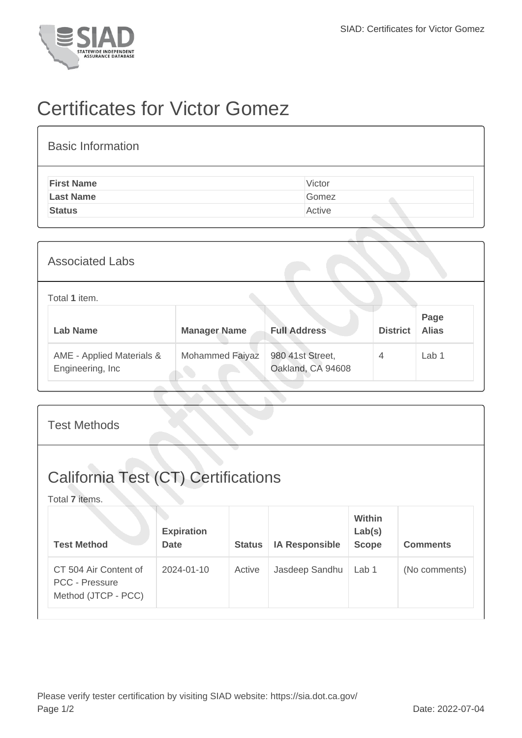

## Certificates for Victor Gomez

| <b>Basic Information</b> |        |
|--------------------------|--------|
| <b>First Name</b>        | Victor |
| <b>Last Name</b>         | Gomez  |
| <b>Status</b>            | Active |
|                          |        |

| <b>Associated Labs</b>                         |                     |                                       |                 |                      |  |
|------------------------------------------------|---------------------|---------------------------------------|-----------------|----------------------|--|
| Total 1 item.                                  |                     |                                       |                 |                      |  |
| <b>Lab Name</b>                                | <b>Manager Name</b> | <b>Full Address</b>                   | <b>District</b> | Page<br><b>Alias</b> |  |
| AME - Applied Materials &<br>Engineering, Inc. | Mohammed Faiyaz     | 980 41st Street,<br>Oakland, CA 94608 | $\overline{4}$  | Lab <sub>1</sub>     |  |

| <b>Test Methods</b>                                                   |                                  |               |                       |                                         |                 |  |
|-----------------------------------------------------------------------|----------------------------------|---------------|-----------------------|-----------------------------------------|-----------------|--|
| <b>California Test (CT) Certifications</b><br>Total 7 items.          |                                  |               |                       |                                         |                 |  |
| <b>Test Method</b>                                                    | <b>Expiration</b><br><b>Date</b> | <b>Status</b> | <b>IA Responsible</b> | <b>Within</b><br>Lab(s)<br><b>Scope</b> | <b>Comments</b> |  |
| CT 504 Air Content of<br><b>PCC - Pressure</b><br>Method (JTCP - PCC) | 2024-01-10                       | Active        | Jasdeep Sandhu        | Lab 1                                   | (No comments)   |  |